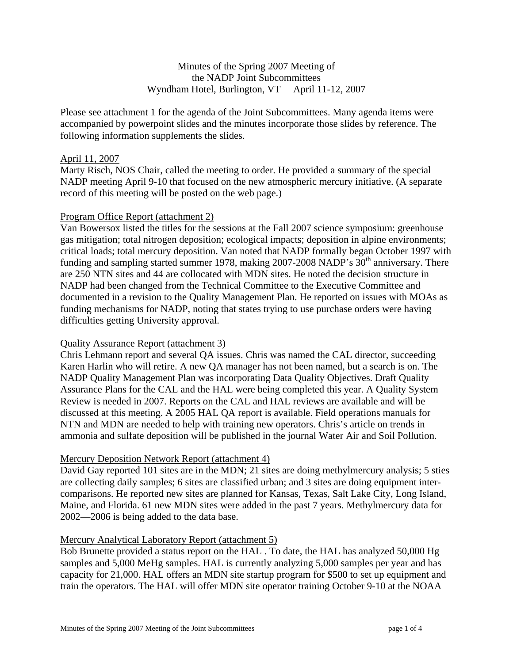## Minutes of the Spring 2007 Meeting of the NADP Joint Subcommittees Wyndham Hotel, Burlington, VT April 11-12, 2007

Please see attachment 1 for the agenda of the Joint Subcommittees. Many agenda items were accompanied by powerpoint slides and the minutes incorporate those slides by reference. The following information supplements the slides.

### April 11, 2007

Marty Risch, NOS Chair, called the meeting to order. He provided a summary of the special NADP meeting April 9-10 that focused on the new atmospheric mercury initiative. (A separate record of this meeting will be posted on the web page.)

### Program Office Report (attachment 2)

Van Bowersox listed the titles for the sessions at the Fall 2007 science symposium: greenhouse gas mitigation; total nitrogen deposition; ecological impacts; deposition in alpine environments; critical loads; total mercury deposition. Van noted that NADP formally began October 1997 with funding and sampling started summer 1978, making 2007-2008 NADP's  $30<sup>th</sup>$  anniversary. There are 250 NTN sites and 44 are collocated with MDN sites. He noted the decision structure in NADP had been changed from the Technical Committee to the Executive Committee and documented in a revision to the Quality Management Plan. He reported on issues with MOAs as funding mechanisms for NADP, noting that states trying to use purchase orders were having difficulties getting University approval.

### Quality Assurance Report (attachment 3)

Chris Lehmann report and several QA issues. Chris was named the CAL director, succeeding Karen Harlin who will retire. A new QA manager has not been named, but a search is on. The NADP Quality Management Plan was incorporating Data Quality Objectives. Draft Quality Assurance Plans for the CAL and the HAL were being completed this year. A Quality System Review is needed in 2007. Reports on the CAL and HAL reviews are available and will be discussed at this meeting. A 2005 HAL QA report is available. Field operations manuals for NTN and MDN are needed to help with training new operators. Chris's article on trends in ammonia and sulfate deposition will be published in the journal Water Air and Soil Pollution.

### Mercury Deposition Network Report (attachment 4)

David Gay reported 101 sites are in the MDN; 21 sites are doing methylmercury analysis; 5 sties are collecting daily samples; 6 sites are classified urban; and 3 sites are doing equipment intercomparisons. He reported new sites are planned for Kansas, Texas, Salt Lake City, Long Island, Maine, and Florida. 61 new MDN sites were added in the past 7 years. Methylmercury data for 2002—2006 is being added to the data base.

### Mercury Analytical Laboratory Report (attachment 5)

Bob Brunette provided a status report on the HAL . To date, the HAL has analyzed 50,000 Hg samples and 5,000 MeHg samples. HAL is currently analyzing 5,000 samples per year and has capacity for 21,000. HAL offers an MDN site startup program for \$500 to set up equipment and train the operators. The HAL will offer MDN site operator training October 9-10 at the NOAA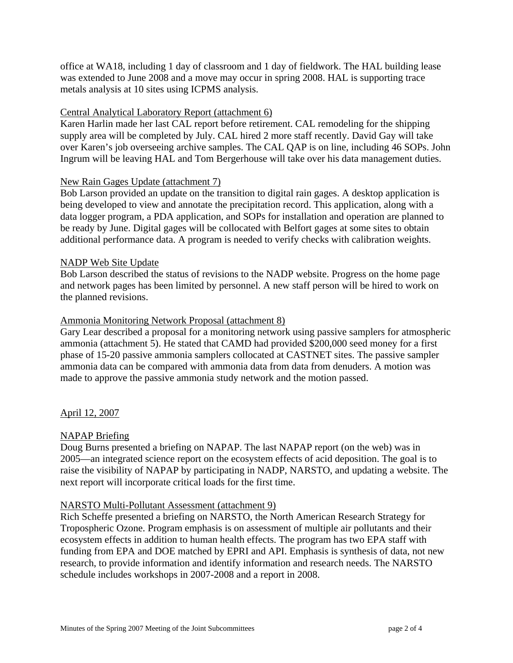office at WA18, including 1 day of classroom and 1 day of fieldwork. The HAL building lease was extended to June 2008 and a move may occur in spring 2008. HAL is supporting trace metals analysis at 10 sites using ICPMS analysis.

# Central Analytical Laboratory Report (attachment 6)

Karen Harlin made her last CAL report before retirement. CAL remodeling for the shipping supply area will be completed by July. CAL hired 2 more staff recently. David Gay will take over Karen's job overseeing archive samples. The CAL QAP is on line, including 46 SOPs. John Ingrum will be leaving HAL and Tom Bergerhouse will take over his data management duties.

### New Rain Gages Update (attachment 7)

Bob Larson provided an update on the transition to digital rain gages. A desktop application is being developed to view and annotate the precipitation record. This application, along with a data logger program, a PDA application, and SOPs for installation and operation are planned to be ready by June. Digital gages will be collocated with Belfort gages at some sites to obtain additional performance data. A program is needed to verify checks with calibration weights.

### NADP Web Site Update

Bob Larson described the status of revisions to the NADP website. Progress on the home page and network pages has been limited by personnel. A new staff person will be hired to work on the planned revisions.

### Ammonia Monitoring Network Proposal (attachment 8)

Gary Lear described a proposal for a monitoring network using passive samplers for atmospheric ammonia (attachment 5). He stated that CAMD had provided \$200,000 seed money for a first phase of 15-20 passive ammonia samplers collocated at CASTNET sites. The passive sampler ammonia data can be compared with ammonia data from data from denuders. A motion was made to approve the passive ammonia study network and the motion passed.

April 12, 2007

# NAPAP Briefing

Doug Burns presented a briefing on NAPAP. The last NAPAP report (on the web) was in 2005—an integrated science report on the ecosystem effects of acid deposition. The goal is to raise the visibility of NAPAP by participating in NADP, NARSTO, and updating a website. The next report will incorporate critical loads for the first time.

### NARSTO Multi-Pollutant Assessment (attachment 9)

Rich Scheffe presented a briefing on NARSTO, the North American Research Strategy for Tropospheric Ozone. Program emphasis is on assessment of multiple air pollutants and their ecosystem effects in addition to human health effects. The program has two EPA staff with funding from EPA and DOE matched by EPRI and API. Emphasis is synthesis of data, not new research, to provide information and identify information and research needs. The NARSTO schedule includes workshops in 2007-2008 and a report in 2008.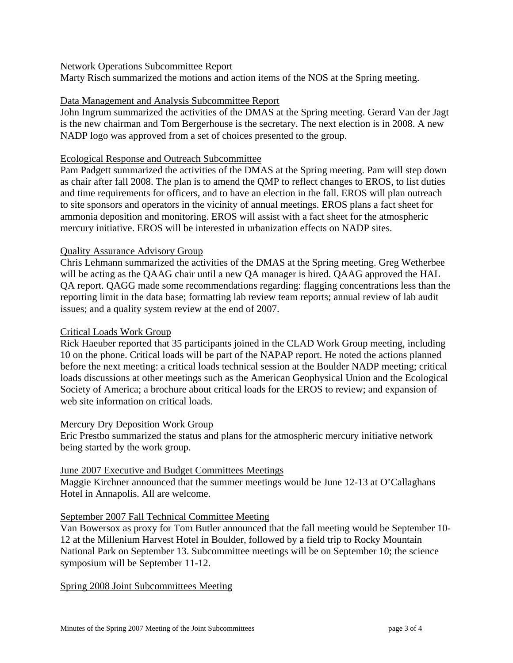### Network Operations Subcommittee Report

Marty Risch summarized the motions and action items of the NOS at the Spring meeting.

## Data Management and Analysis Subcommittee Report

John Ingrum summarized the activities of the DMAS at the Spring meeting. Gerard Van der Jagt is the new chairman and Tom Bergerhouse is the secretary. The next election is in 2008. A new NADP logo was approved from a set of choices presented to the group.

### Ecological Response and Outreach Subcommittee

Pam Padgett summarized the activities of the DMAS at the Spring meeting. Pam will step down as chair after fall 2008. The plan is to amend the QMP to reflect changes to EROS, to list duties and time requirements for officers, and to have an election in the fall. EROS will plan outreach to site sponsors and operators in the vicinity of annual meetings. EROS plans a fact sheet for ammonia deposition and monitoring. EROS will assist with a fact sheet for the atmospheric mercury initiative. EROS will be interested in urbanization effects on NADP sites.

# Quality Assurance Advisory Group

Chris Lehmann summarized the activities of the DMAS at the Spring meeting. Greg Wetherbee will be acting as the QAAG chair until a new QA manager is hired. QAAG approved the HAL QA report. QAGG made some recommendations regarding: flagging concentrations less than the reporting limit in the data base; formatting lab review team reports; annual review of lab audit issues; and a quality system review at the end of 2007.

### Critical Loads Work Group

Rick Haeuber reported that 35 participants joined in the CLAD Work Group meeting, including 10 on the phone. Critical loads will be part of the NAPAP report. He noted the actions planned before the next meeting: a critical loads technical session at the Boulder NADP meeting; critical loads discussions at other meetings such as the American Geophysical Union and the Ecological Society of America; a brochure about critical loads for the EROS to review; and expansion of web site information on critical loads.

### Mercury Dry Deposition Work Group

Eric Prestbo summarized the status and plans for the atmospheric mercury initiative network being started by the work group.

### June 2007 Executive and Budget Committees Meetings

Maggie Kirchner announced that the summer meetings would be June 12-13 at O'Callaghans Hotel in Annapolis. All are welcome.

### September 2007 Fall Technical Committee Meeting

Van Bowersox as proxy for Tom Butler announced that the fall meeting would be September 10- 12 at the Millenium Harvest Hotel in Boulder, followed by a field trip to Rocky Mountain National Park on September 13. Subcommittee meetings will be on September 10; the science symposium will be September 11-12.

Spring 2008 Joint Subcommittees Meeting